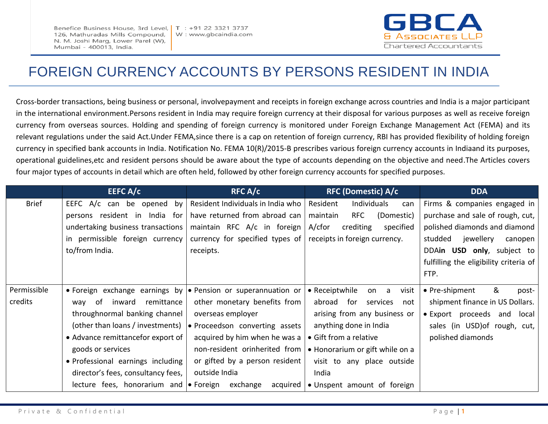Benefice Business House, 3rd Level, 126, Mathuradas Mills Compound, N. M. Joshi Marg, Lower Parel (W), Mumbai - 400013, India.



# FOREIGN CURRENCY ACCOUNTS BY PERSONS RESIDENT IN INDIA

Cross-border transactions, being business or personal, involvepayment and receipts in foreign exchange across countries and India is a major participant in the international environment.Persons resident in India may require foreign currency at their disposal for various purposes as well as receive foreign currency from overseas sources. Holding and spending of foreign currency is monitored under Foreign Exchange Management Act (FEMA) and its relevant regulations under the said Act.Under FEMA,since there is a cap on retention of foreign currency, RBI has provided flexibility of holding foreign currency in specified bank accounts in India. Notification No. FEMA 10(R)/2015-B prescribes various foreign currency accounts in Indiaand its purposes, operational guidelines,etc and resident persons should be aware about the type of accounts depending on the objective and need.The Articles covers four major types of accounts in detail which are often held, followed by other foreign currency accounts for specified purposes.

|              | EEFC $A/c$                                                            | RFC A/c                                                         | <b>RFC (Domestic) A/c</b>            | <b>DDA</b>                             |
|--------------|-----------------------------------------------------------------------|-----------------------------------------------------------------|--------------------------------------|----------------------------------------|
| <b>Brief</b> | EEFC A/c can be opened by                                             | Resident Individuals in India who                               | Resident<br>Individuals<br>can       | Firms & companies engaged in           |
|              | persons resident in India for                                         | have returned from abroad can                                   | <b>RFC</b><br>maintain<br>(Domestic) | purchase and sale of rough, cut,       |
|              | undertaking business transactions                                     | maintain RFC A/c in foreign                                     | A/cfor<br>crediting<br>specified     | polished diamonds and diamond          |
|              | in permissible foreign currency                                       | currency for specified types of   receipts in foreign currency. |                                      | studded<br>jewellery<br>canopen        |
|              | to/from India.                                                        | receipts.                                                       |                                      | DDAin USD only, subject to             |
|              |                                                                       |                                                                 |                                      | fulfilling the eligibility criteria of |
|              |                                                                       |                                                                 |                                      | FTP.                                   |
| Permissible  | • Foreign exchange earnings by $\bullet$ Pension or superannuation or |                                                                 | • Receiptwhile<br>visit<br>on a      | &<br>• Pre-shipment<br>post-           |
| credits      | remittance<br>inward<br>way of                                        | other monetary benefits from                                    | abroad for<br>services<br>not        | shipment finance in US Dollars.        |
|              | throughnormal banking channel                                         | overseas employer                                               | arising from any business or         | • Export proceeds and<br>local         |
|              | (other than loans / investments)                                      | • Proceedson converting assets                                  | anything done in India               | sales (in USD) of rough, cut,          |
|              | • Advance remittancefor export of                                     | acquired by him when he was a                                   | • Gift from a relative               | polished diamonds                      |
|              | goods or services                                                     | non-resident orinherited from                                   | • Honorarium or gift while on a      |                                        |
|              | · Professional earnings including                                     | or gifted by a person resident                                  | visit to any place outside           |                                        |
|              | director's fees, consultancy fees,                                    | outside India                                                   | India                                |                                        |
|              | lecture fees, honorarium and $\bullet$ Foreign                        | exchange<br>acquired                                            | • Unspent amount of foreign          |                                        |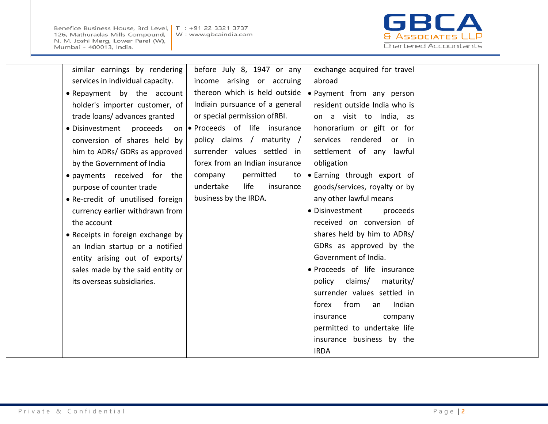Benefice Business House, 3rd Level, | T : +91 22 3321 3737 126, Mathuradas Mills Compound, N. M. Joshi Marg, Lower Parel (W), Mumbai - 400013, India.

W: www.gbcaindia.com



| similar earnings by rendering     | before July 8, 1947 or any      | exchange acquired for travel   |  |
|-----------------------------------|---------------------------------|--------------------------------|--|
| services in individual capacity.  | income arising or accruing      | abroad                         |  |
| • Repayment by the account        | thereon which is held outside   | • Payment from any person      |  |
| holder's importer customer, of    | Indiain pursuance of a general  | resident outside India who is  |  |
| trade loans/ advances granted     | or special permission ofRBI.    | on a visit to India, as        |  |
| · Disinvestment proceeds          | on • Proceeds of life insurance | honorarium or gift or for      |  |
| conversion of shares held by      | policy claims / maturity /      | services rendered<br>or in     |  |
| him to ADRs/ GDRs as approved     | surrender values settled in     | settlement of any lawful       |  |
| by the Government of India        | forex from an Indian insurance  | obligation                     |  |
| · payments received for the       | permitted<br>company<br>to      | • Earning through export of    |  |
| purpose of counter trade          | undertake<br>life<br>insurance  | goods/services, royalty or by  |  |
| • Re-credit of unutilised foreign | business by the IRDA.           | any other lawful means         |  |
| currency earlier withdrawn from   |                                 | · Disinvestment<br>proceeds    |  |
| the account                       |                                 | received on conversion of      |  |
| • Receipts in foreign exchange by |                                 | shares held by him to ADRs/    |  |
| an Indian startup or a notified   |                                 | GDRs as approved by the        |  |
| entity arising out of exports/    |                                 | Government of India.           |  |
| sales made by the said entity or  |                                 | · Proceeds of life insurance   |  |
| its overseas subsidiaries.        |                                 | claims/<br>maturity/<br>policy |  |
|                                   |                                 | surrender values settled in    |  |
|                                   |                                 | from<br>Indian<br>forex<br>an  |  |
|                                   |                                 | insurance<br>company           |  |
|                                   |                                 | permitted to undertake life    |  |
|                                   |                                 | insurance business by the      |  |
|                                   |                                 | <b>IRDA</b>                    |  |
|                                   |                                 |                                |  |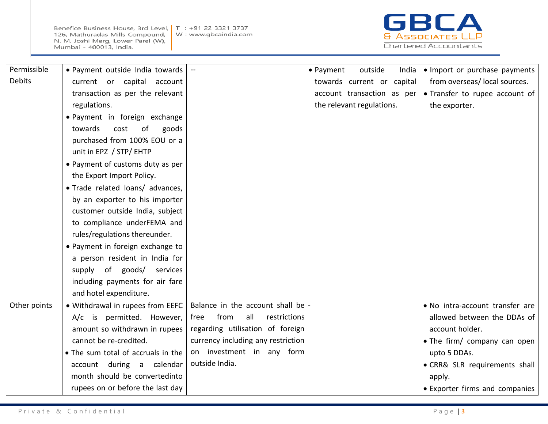Benefice Business House, 3rd Level, | T : +91 22 3321 3737 126, Mathuradas Mills Compound, N. M. Joshi Marg, Lower Parel (W), Mumbai - 400013, India.



| Permissible   | . Payment outside India towards    |                                     | • Payment<br>outside<br>India | • Import or purchase payments   |
|---------------|------------------------------------|-------------------------------------|-------------------------------|---------------------------------|
| <b>Debits</b> | current or capital<br>account      |                                     | towards current or capital    | from overseas/local sources.    |
|               | transaction as per the relevant    |                                     | account transaction as per    | • Transfer to rupee account of  |
|               | regulations.                       |                                     | the relevant regulations.     | the exporter.                   |
|               | • Payment in foreign exchange      |                                     |                               |                                 |
|               | towards<br>of<br>cost<br>goods     |                                     |                               |                                 |
|               | purchased from 100% EOU or a       |                                     |                               |                                 |
|               | unit in EPZ / STP/ EHTP            |                                     |                               |                                 |
|               | • Payment of customs duty as per   |                                     |                               |                                 |
|               | the Export Import Policy.          |                                     |                               |                                 |
|               | · Trade related loans/ advances,   |                                     |                               |                                 |
|               | by an exporter to his importer     |                                     |                               |                                 |
|               | customer outside India, subject    |                                     |                               |                                 |
|               | to compliance underFEMA and        |                                     |                               |                                 |
|               | rules/regulations thereunder.      |                                     |                               |                                 |
|               | • Payment in foreign exchange to   |                                     |                               |                                 |
|               | a person resident in India for     |                                     |                               |                                 |
|               | supply of goods/<br>services       |                                     |                               |                                 |
|               | including payments for air fare    |                                     |                               |                                 |
|               | and hotel expenditure.             |                                     |                               |                                 |
| Other points  | . Withdrawal in rupees from EEFC   | Balance in the account shall be -   |                               | . No intra-account transfer are |
|               | A/c is permitted. However,         | from<br>all<br>restrictions<br>free |                               | allowed between the DDAs of     |
|               | amount so withdrawn in rupees      | regarding utilisation of foreign    |                               | account holder.                 |
|               | cannot be re-credited.             | currency including any restriction  |                               | • The firm/ company can open    |
|               | • The sum total of accruals in the | on investment in any form           |                               | upto 5 DDAs.                    |
|               | account during a calendar          | outside India.                      |                               | · CRR& SLR requirements shall   |
|               | month should be convertedinto      |                                     |                               | apply.                          |
|               | rupees on or before the last day   |                                     |                               | • Exporter firms and companies  |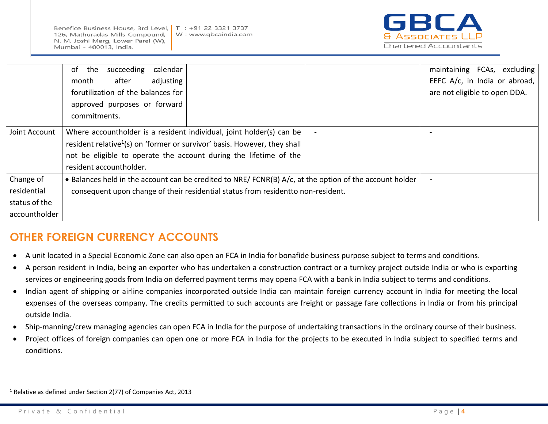Benefice Business House, 3rd Level, 126, Mathuradas Mills Compound, N. M. Joshi Marg, Lower Parel (W), Mumbai - 400013, India.



|               | the<br>succeeding<br>calendar<br>of                                                                     |  | maintaining FCAs, excluding   |
|---------------|---------------------------------------------------------------------------------------------------------|--|-------------------------------|
|               | after<br>adjusting<br>month                                                                             |  | EEFC A/c, in India or abroad, |
|               | forutilization of the balances for                                                                      |  | are not eligible to open DDA. |
|               | approved purposes or forward                                                                            |  |                               |
|               | commitments.                                                                                            |  |                               |
| Joint Account | Where accountholder is a resident individual, joint holder(s) can be                                    |  |                               |
|               | resident relative <sup>1</sup> (s) on 'former or survivor' basis. However, they shall                   |  |                               |
|               | not be eligible to operate the account during the lifetime of the                                       |  |                               |
|               | resident accountholder.                                                                                 |  |                               |
| Change of     | • Balances held in the account can be credited to NRE/ FCNR(B) A/c, at the option of the account holder |  |                               |
| residential   | consequent upon change of their residential status from residentto non-resident.                        |  |                               |
| status of the |                                                                                                         |  |                               |
| accountholder |                                                                                                         |  |                               |

## **OTHER FOREIGN CURRENCY ACCOUNTS**

- A unit located in a Special Economic Zone can also open an FCA in India for bonafide business purpose subject to terms and conditions.
- A person resident in India, being an exporter who has undertaken a construction contract or a turnkey project outside India or who is exporting services or engineering goods from India on deferred payment terms may opena FCA with a bank in India subject to terms and conditions.
- Indian agent of shipping or airline companies incorporated outside India can maintain foreign currency account in India for meeting the local expenses of the overseas company. The credits permitted to such accounts are freight or passage fare collections in India or from his principal outside India.
- Ship-manning/crew managing agencies can open FCA in India for the purpose of undertaking transactions in the ordinary course of their business.
- Project offices of foreign companies can open one or more FCA in India for the projects to be executed in India subject to specified terms and conditions.

 $\overline{a}$ 

<sup>1</sup> Relative as defined under Section 2(77) of Companies Act, 2013